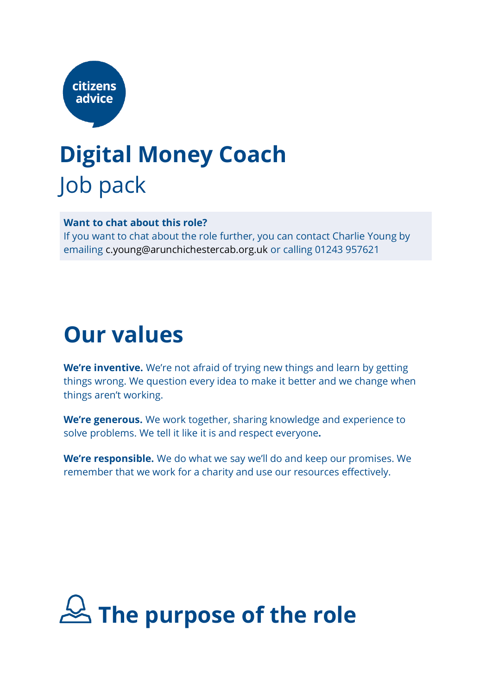

## **Digital Money Coach** Job pack

**Want to chat about this role?** If you want to chat about the role further, you can contact Charlie Young by emailing c.young@arunchichestercab.org.uk or calling 01243 957621

### **Our values**

**We're inventive.** We're not afraid of trying new things and learn by getting things wrong. We question every idea to make it better and we change when things aren't working.

**We're generous.** We work together, sharing knowledge and experience to solve problems. We tell it like it is and respect everyone**.**

**We're responsible.** We do what we say we'll do and keep our promises. We remember that we work for a charity and use our resources effectively.

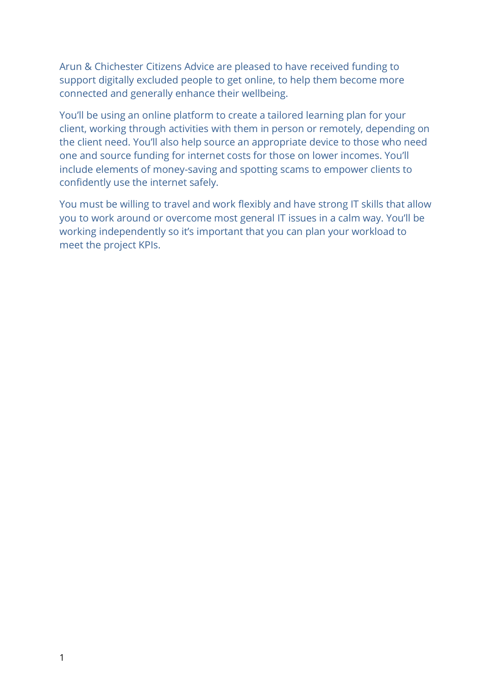Arun & Chichester Citizens Advice are pleased to have received funding to support digitally excluded people to get online, to help them become more connected and generally enhance their wellbeing.

You'll be using an online platform to create a tailored learning plan for your client, working through activities with them in person or remotely, depending on the client need. You'll also help source an appropriate device to those who need one and source funding for internet costs for those on lower incomes. You'll include elements of money-saving and spotting scams to empower clients to confidently use the internet safely.

You must be willing to travel and work flexibly and have strong IT skills that allow you to work around or overcome most general IT issues in a calm way. You'll be working independently so it's important that you can plan your workload to meet the project KPIs.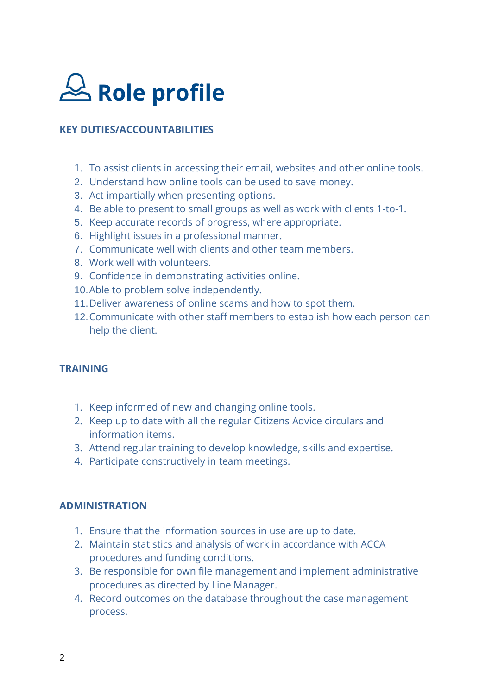

#### **KEY DUTIES/ACCOUNTABILITIES**

- 1. To assist clients in accessing their email, websites and other online tools.
- 2. Understand how online tools can be used to save money.
- 3. Act impartially when presenting options.
- 4. Be able to present to small groups as well as work with clients 1-to-1.
- 5. Keep accurate records of progress, where appropriate.
- 6. Highlight issues in a professional manner.
- 7. Communicate well with clients and other team members.
- 8. Work well with volunteers.
- 9. Confidence in demonstrating activities online.
- 10.Able to problem solve independently.
- 11.Deliver awareness of online scams and how to spot them.
- 12.Communicate with other staff members to establish how each person can help the client.

#### **TRAINING**

- 1. Keep informed of new and changing online tools.
- 2. Keep up to date with all the regular Citizens Advice circulars and information items.
- 3. Attend regular training to develop knowledge, skills and expertise.
- 4. Participate constructively in team meetings.

#### **ADMINISTRATION**

- 1. Ensure that the information sources in use are up to date.
- 2. Maintain statistics and analysis of work in accordance with ACCA procedures and funding conditions.
- 3. Be responsible for own file management and implement administrative procedures as directed by Line Manager.
- 4. Record outcomes on the database throughout the case management process.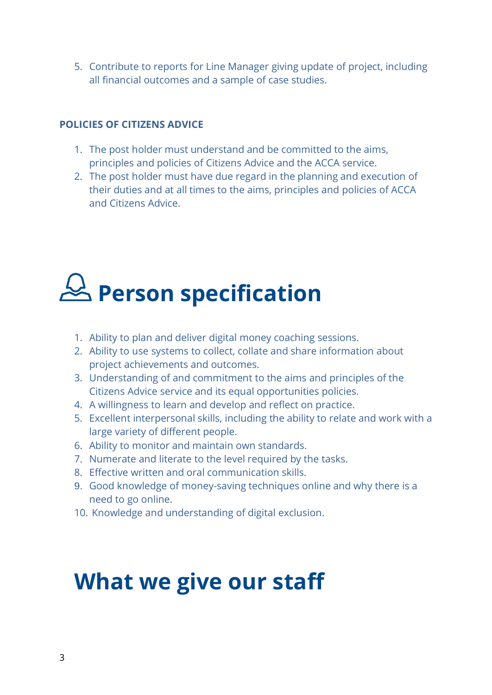5. Contribute to reports for Line Manager giving update of project, including all financial outcomes and a sample of case studies.

#### **POLICIES OF CITIZENS ADVICE**

- 1. The post holder must understand and be committed to the aims, principles and policies of Citizens Advice and the ACCA service.
- 2. The post holder must have due regard in the planning and execution of their duties and at all times to the aims, principles and policies of ACCA and Citizens Advice.

# **Person specification**

- 1. Ability to plan and deliver digital money coaching sessions.
- 2. Ability to use systems to collect, collate and share information about project achievements and outcomes.
- 3. Understanding of and commitment to the aims and principles of the Citizens Advice service and its equal opportunities policies.
- 4. A willingness to learn and develop and reflect on practice.
- 5. Excellent interpersonal skills, including the ability to relate and work with a large variety of different people.
- 6. Ability to monitor and maintain own standards.
- 7. Numerate and literate to the level required by the tasks.
- 8. Effective written and oral communication skills.
- 9. Good knowledge of money-saving techniques online and why there is a need to go online.
- 10. Knowledge and understanding of digital exclusion.

## **What we give our staff**